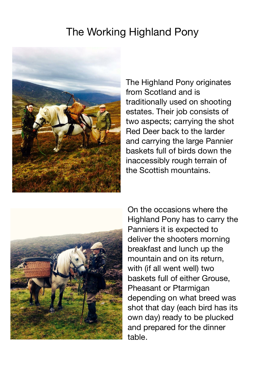## The Working Highland Pony



The Highland Pony originates from Scotland and is traditionally used on shooting estates. Their job consists of two aspects; carrying the shot Red Deer back to the larder and carrying the large Pannier baskets full of birds down the inaccessibly rough terrain of the Scottish mountains.



On the occasions where the Highland Pony has to carry the Panniers it is expected to deliver the shooters morning breakfast and lunch up the mountain and on its return, with (if all went well) two baskets full of either Grouse, Pheasant or Ptarmigan depending on what breed was shot that day (each bird has its own day) ready to be plucked and prepared for the dinner table.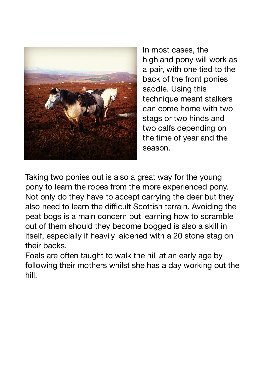

In most cases, the highland pony will work as a pair, with one tied to the back of the front ponies saddle. Using this technique meant stalkers can come home with two stags or two hinds and two calfs depending on the time of year and the season.

Taking two ponies out is also a great way for the young pony to learn the ropes from the more experienced pony. Not only do they have to accept carrying the deer but they also need to learn the difficult Scottish terrain. Avoiding the peat bogs is a main concern but learning how to scramble out of them should they become bogged is also a skill in itself, especially if heavily laidened with a 20 stone stag on their backs.

Foals are often taught to walk the hill at an early age by following their mothers whilst she has a day working out the hill.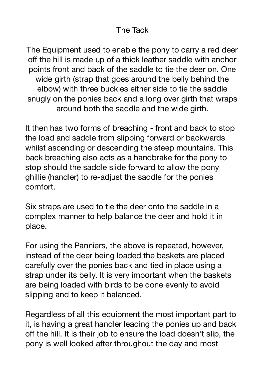## The Tack

The Equipment used to enable the pony to carry a red deer off the hill is made up of a thick leather saddle with anchor points front and back of the saddle to tie the deer on. One wide girth (strap that goes around the belly behind the elbow) with three buckles either side to tie the saddle snugly on the ponies back and a long over girth that wraps around both the saddle and the wide girth.

It then has two forms of breaching - front and back to stop the load and saddle from slipping forward or backwards whilst ascending or descending the steep mountains. This back breaching also acts as a handbrake for the pony to stop should the saddle slide forward to allow the pony ghillie (handler) to re-adjust the saddle for the ponies comfort.

Six straps are used to tie the deer onto the saddle in a complex manner to help balance the deer and hold it in place.

For using the Panniers, the above is repeated, however, instead of the deer being loaded the baskets are placed carefully over the ponies back and tied in place using a strap under its belly. It is very important when the baskets are being loaded with birds to be done evenly to avoid slipping and to keep it balanced.

Regardless of all this equipment the most important part to it, is having a great handler leading the ponies up and back off the hill. It is their job to ensure the load doesn't slip, the pony is well looked after throughout the day and most